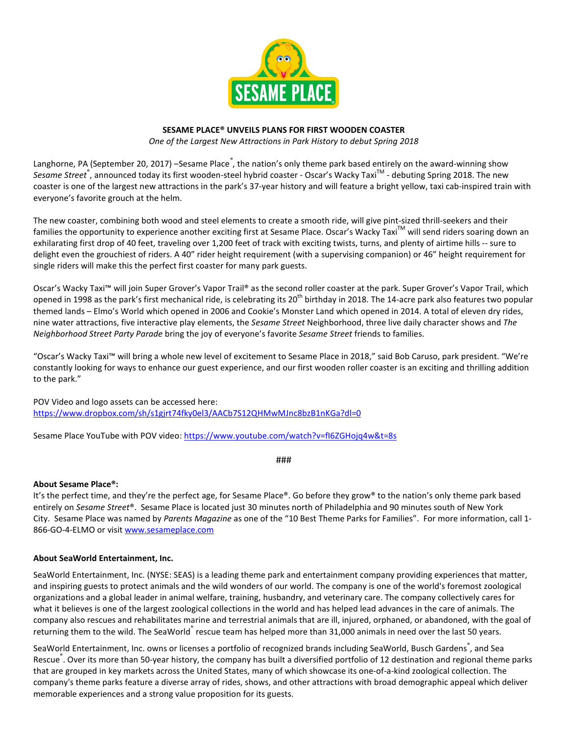

# SESAME PLACE® UNVEILS PLANS FOR FIRST WOODEN COASTER

One of the Largest New Attractions in Park History to debut Spring 2018

Langhorne, PA (September 20, 2017) –Sesame Place<sup>®</sup>, the nation's only theme park based entirely on the award-winning show Sesame Street®, announced today its first wooden-steel hybrid coaster - Oscar's Wacky Taxi<sup>™</sup> - debuting Spring 2018. The new coaster is one of the largest new attractions in the park's 37-year history and will feature a bright yellow, taxi cab-inspired train with everyone's favorite grouch at the helm.

The new coaster, combining both wood and steel elements to create a smooth ride, will give pint-sized thrill-seekers and their families the opportunity to experience another exciting first at Sesame Place. Oscar's Wacky TaxiTM will send riders soaring down an exhilarating first drop of 40 feet, traveling over 1,200 feet of track with exciting twists, turns, and plenty of airtime hills -- sure to delight even the grouchiest of riders. A 40" rider height requirement (with a supervising companion) or 46" height requirement for single riders will make this the perfect first coaster for many park guests.

Oscar's Wacky Taxi™ will join Super Grover's Vapor Trail® as the second roller coaster at the park. Super Grover's Vapor Trail, which opened in 1998 as the park's first mechanical ride, is celebrating its 20<sup>th</sup> birthday in 2018. The 14-acre park also features two popular themed lands – Elmo's World which opened in 2006 and Cookie's Monster Land which opened in 2014. A total of eleven dry rides, nine water attractions, five interactive play elements, the Sesame Street Neighborhood, three live daily character shows and The Neighborhood Street Party Parade bring the joy of everyone's favorite Sesame Street friends to families.

"Oscar's Wacky Taxi™ will bring a whole new level of excitement to Sesame Place in 2018," said Bob Caruso, park president. "We're constantly looking for ways to enhance our guest experience, and our first wooden roller coaster is an exciting and thrilling addition to the park."

POV Video and logo assets can be accessed here: https://www.dropbox.com/sh/s1gjrt74fky0el3/AACb7S12QHMwMJnc8bzB1nKGa?dl=0

Sesame Place YouTube with POV video: https://www.youtube.com/watch?v=fI6ZGHojq4w&t=8s

###

# About Sesame Place®:

It's the perfect time, and they're the perfect age, for Sesame Place®. Go before they grow® to the nation's only theme park based entirely on Sesame Street®. Sesame Place is located just 30 minutes north of Philadelphia and 90 minutes south of New York City. Sesame Place was named by Parents Magazine as one of the "10 Best Theme Parks for Families". For more information, call 1- 866-GO-4-ELMO or visit www.sesameplace.com

#### About SeaWorld Entertainment, Inc.

SeaWorld Entertainment, Inc. (NYSE: SEAS) is a leading theme park and entertainment company providing experiences that matter, and inspiring guests to protect animals and the wild wonders of our world. The company is one of the world's foremost zoological organizations and a global leader in animal welfare, training, husbandry, and veterinary care. The company collectively cares for what it believes is one of the largest zoological collections in the world and has helped lead advances in the care of animals. The company also rescues and rehabilitates marine and terrestrial animals that are ill, injured, orphaned, or abandoned, with the goal of returning them to the wild. The SeaWorld<sup>®</sup> rescue team has helped more than 31,000 animals in need over the last 50 years.

SeaWorld Entertainment, Inc. owns or licenses a portfolio of recognized brands including SeaWorld, Busch Gardens<sup>®</sup>, and Sea Rescue<sup>®</sup>. Over its more than 50-year history, the company has built a diversified portfolio of 12 destination and regional theme parks that are grouped in key markets across the United States, many of which showcase its one-of-a-kind zoological collection. The company's theme parks feature a diverse array of rides, shows, and other attractions with broad demographic appeal which deliver memorable experiences and a strong value proposition for its guests.